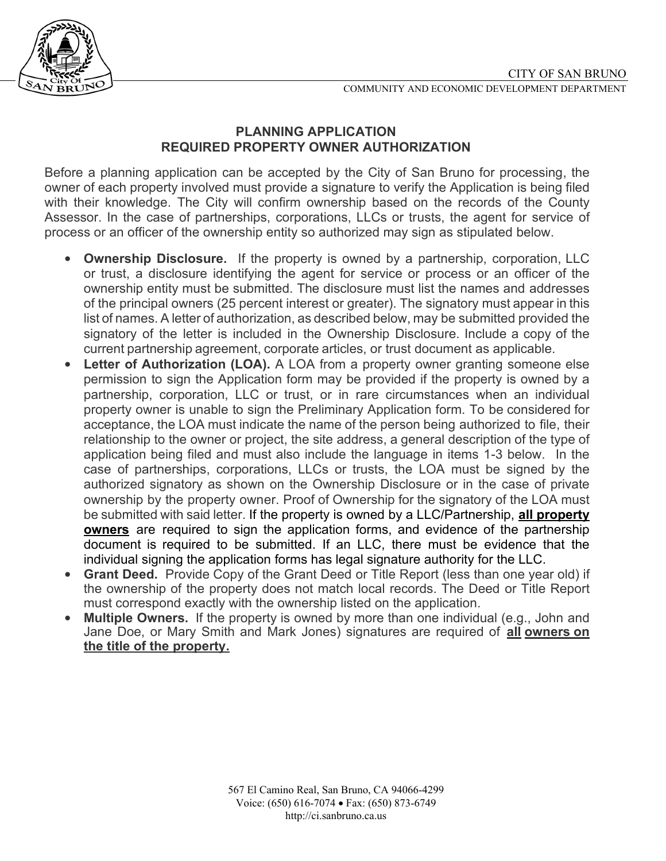

## **PLANNING APPLICATION REQUIRED PROPERTY OWNER AUTHORIZATION**

Before a planning application can be accepted by the City of San Bruno for processing, the owner of each property involved must provide a signature to verify the Application is being filed with their knowledge. The City will confirm ownership based on the records of the County Assessor. In the case of partnerships, corporations, LLCs or trusts, the agent for service of process or an officer of the ownership entity so authorized may sign as stipulated below.

- **Ownership Disclosure.** If the property is owned by a partnership, corporation, LLC or trust, a disclosure identifying the agent for service or process or an officer of the ownership entity must be submitted. The disclosure must list the names and addresses of the principal owners (25 percent interest or greater). The signatory must appear in this list of names. A letter of authorization, as described below, may be submitted provided the signatory of the letter is included in the Ownership Disclosure. Include a copy of the current partnership agreement, corporate articles, or trust document as applicable.
- **Letter of Authorization (LOA).** A LOA from a property owner granting someone else permission to sign the Application form may be provided if the property is owned by a partnership, corporation, LLC or trust, or in rare circumstances when an individual property owner is unable to sign the Preliminary Application form. To be considered for acceptance, the LOA must indicate the name of the person being authorized to file, their relationship to the owner or project, the site address, a general description of the type of application being filed and must also include the language in items 1-3 below. In the case of partnerships, corporations, LLCs or trusts, the LOA must be signed by the authorized signatory as shown on the Ownership Disclosure or in the case of private ownership by the property owner. Proof of Ownership for the signatory of the LOA must be submitted with said letter. If the property is owned by a LLC/Partnership, **all property owners** are required to sign the application forms, and evidence of the partnership document is required to be submitted. If an LLC, there must be evidence that the individual signing the application forms has legal signature authority for the LLC.
- **Grant Deed.** Provide Copy of the Grant Deed or Title Report (less than one year old) if the ownership of the property does not match local records. The Deed or Title Report must correspond exactly with the ownership listed on the application.
- **Multiple Owners.** If the property is owned by more than one individual (e.g., John and Jane Doe, or Mary Smith and Mark Jones) signatures are required of **all owners on the title of the property.**